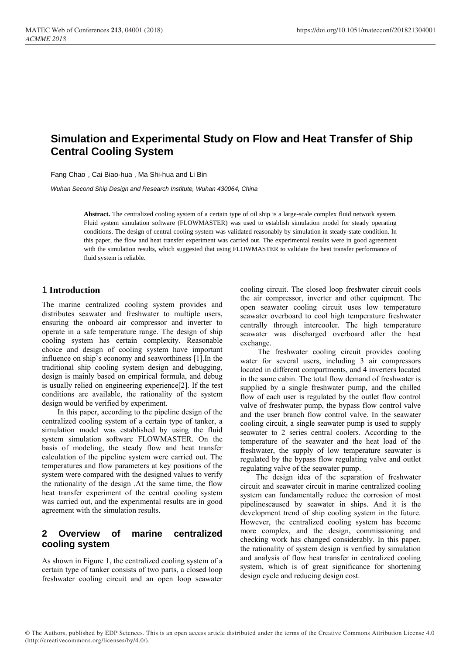# **Simulation and Experimental Study on Flow and Heat Transfer of Ship Central Cooling System**

Fang Chao , Cai Biao-hua , Ma Shi-hua and Li Bin

*Wuhan Second Ship Design and Research Institute, Wuhan 430064, China*

**Abstract.** The centralized cooling system of a certain type of oil ship is a large-scale complex fluid network system. Fluid system simulation software (FLOWMASTER) was used to establish simulation model for steady operating conditions. The design of central cooling system was validated reasonably by simulation in steady-state condition. In this paper, the flow and heat transfer experiment was carried out. The experimental results were in good agreement with the simulation results, which suggested that using FLOWMASTER to validate the heat transfer performance of fluid system is reliable.

## 1 **Introduction**

The marine centralized cooling system provides and distributes seawater and freshwater to multiple users, ensuring the onboard air compressor and inverter to operate in a safe temperature range. The design of ship cooling system has certain complexity. Reasonable choice and design of cooling system have important influence on ship`s economy and seaworthiness [1].In the traditional ship cooling system design and debugging, design is mainly based on empirical formula, and debug is usually relied on engineering experience[2]. If the test conditions are available, the rationality of the system design would be verified by experiment.

In this paper, according to the pipeline design of the centralized cooling system of a certain type of tanker, a simulation model was established by using the fluid system simulation software FLOWMASTER. On the basis of modeling, the steady flow and heat transfer calculation of the pipeline system were carried out. The temperatures and flow parameters at key positions of the system were compared with the designed values to verify the rationality of the design .At the same time, the flow heat transfer experiment of the central cooling system was carried out, and the experimental results are in good agreement with the simulation results.

## **2 Overview of marine centralized cooling system**

As shown in Figure 1, the centralized cooling system of a certain type of tanker consists of two parts, a closed loop freshwater cooling circuit and an open loop seawater cooling circuit. The closed loop freshwater circuit cools the air compressor, inverter and other equipment. The open seawater cooling circuit uses low temperature seawater overboard to cool high temperature freshwater centrally through intercooler. The high temperature seawater was discharged overboard after the heat exchange.

The freshwater cooling circuit provides cooling water for several users, including 3 air compressors located in different compartments, and 4 inverters located in the same cabin. The total flow demand of freshwater is supplied by a single freshwater pump, and the chilled flow of each user is regulated by the outlet flow control valve of freshwater pump, the bypass flow control valve and the user branch flow control valve. In the seawater cooling circuit, a single seawater pump is used to supply seawater to 2 series central coolers. According to the temperature of the seawater and the heat load of the freshwater, the supply of low temperature seawater is regulated by the bypass flow regulating valve and outlet regulating valve of the seawater pump.

The design idea of the separation of freshwater circuit and seawater circuit in marine centralized cooling system can fundamentally reduce the corrosion of most pipelinescaused by seawater in ships. And it is the development trend of ship cooling system in the future. However, the centralized cooling system has become more complex, and the design, commissioning and checking work has changed considerably. In this paper, the rationality of system design is verified by simulation and analysis of flow heat transfer in centralized cooling system, which is of great significance for shortening design cycle and reducing design cost.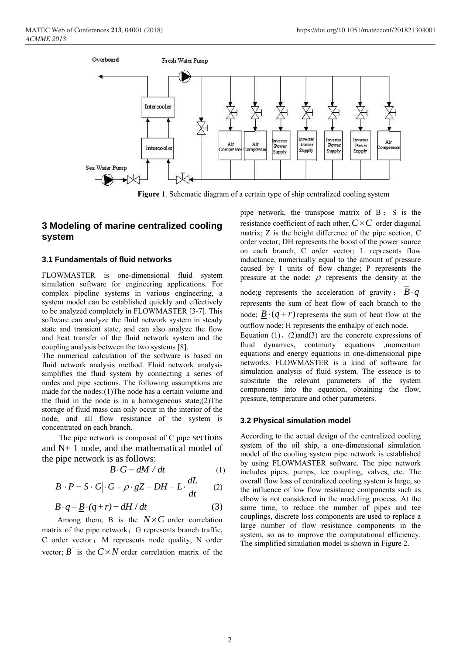

**Figure 1**. Schematic diagram of a certain type of ship centralized cooling system

## **3 Modeling of marine centralized cooling system**

#### **3.1 Fundamentals of fluid networks**

FLOWMASTER is one-dimensional fluid system simulation software for engineering applications. For complex pipeline systems in various engineering, a system model can be established quickly and effectively to be analyzed completely in FLOWMASTER [3-7]. This software can analyze the fluid network system in steady state and transient state, and can also analyze the flow and heat transfer of the fluid network system and the coupling analysis between the two systems [8].

The numerical calculation of the software is based on fluid network analysis method. Fluid network analysis simplifies the fluid system by connecting a series of nodes and pipe sections. The following assumptions are made for the nodes:(1)The node has a certain volume and the fluid in the node is in a homogeneous state; $(2)$ The storage of fluid mass can only occur in the interior of the node, and all flow resistance of the system is concentrated on each branch.

 The pipe network is composed of C pipe sections and N+ 1 node, and the mathematical model of the pipe network is as follows:

$$
B \cdot G = dM / dt \tag{1}
$$

$$
B \cdot P = S \cdot |G| \cdot G + \rho \cdot gZ - DH - L \cdot \frac{dL}{dt} \qquad (2)
$$

$$
\overline{B} \cdot q - \underline{B} \cdot (q + r) = dH / dt \tag{3}
$$

Among them, B is the  $N \times C$  order correlation matrix of the pipe network; G represents branch traffic, C order vector; M represents node quality, N order vector;  $\vec{B}$  is the  $C \times N$  order correlation matrix of the

pipe network, the transpose matrix of B ; S is the resistance coefficient of each other,  $C \times C$  order diagonal matrix; Z is the height difference of the pipe section, C order vector; DH represents the boost of the power source on each branch, C order vector; L represents flow inductance, numerically equal to the amount of pressure caused by 1 units of flow change; P represents the pressure at the node;  $\rho$  represents the density at the

node;g represents the acceleration of gravity ;  $B \cdot q$ represents the sum of heat flow of each branch to the node;  $B \cdot (q + r)$  represents the sum of heat flow at the outflow node; H represents the enthalpy of each node.

Equation  $(1)$ ,  $(2)$ and $(3)$  are the concrete expressions of fluid dynamics, continuity equations ,momentum equations and energy equations in one-dimensional pipe networks. FLOWMASTER is a kind of software for simulation analysis of fluid system. The essence is to substitute the relevant parameters of the system components into the equation, obtaining the flow, pressure, temperature and other parameters.

#### **3.2 Physical simulation model**

According to the actual design of the centralized cooling system of the oil ship, a one-dimensional simulation model of the cooling system pipe network is established by using FLOWMASTER software. The pipe network includes pipes, pumps, tee coupling, valves, etc. The overall flow loss of centralized cooling system is large, so the influence of low flow resistance components such as elbow is not considered in the modeling process. At the same time, to reduce the number of pipes and tee couplings, discrete loss components are used to replace a large number of flow resistance components in the system, so as to improve the computational efficiency. The simplified simulation model is shown in Figure 2.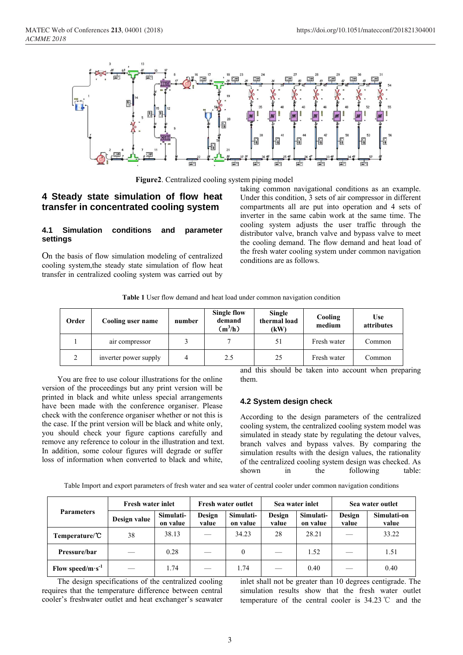

**Figure2**. Centralized cooling system piping model

## **4 Steady state simulation of flow heat transfer in concentrated cooling system**

## **4.1 Simulation conditions and parameter settings**

On the basis of flow simulation modeling of centralized cooling system,the steady state simulation of flow heat transfer in centralized cooling system was carried out by

taking common navigational conditions as an example. Under this condition, 3 sets of air compressor in different compartments all are put into operation and 4 sets of inverter in the same cabin work at the same time. The cooling system adjusts the user traffic through the distributor valve, branch valve and bypass valve to meet the cooling demand. The flow demand and heat load of the fresh water cooling system under common navigation conditions are as follows.

| Table 1 User flow demand and heat load under common navigation condition |  |
|--------------------------------------------------------------------------|--|
|--------------------------------------------------------------------------|--|

| Order | Cooling user name     | number | Single flow<br>demand<br>$(m^3/h)$ | Single<br>thermal load<br>(kW) | Cooling<br>medium | <b>Use</b><br>attributes |  |
|-------|-----------------------|--------|------------------------------------|--------------------------------|-------------------|--------------------------|--|
|       | air compressor        |        |                                    | 51                             | Fresh water       | Common                   |  |
| 2     | inverter power supply |        | 2.5                                | 25                             | Fresh water       | Common                   |  |

You are free to use colour illustrations for the online version of the proceedings but any print version will be printed in black and white unless special arrangements have been made with the conference organiser. Please check with the conference organiser whether or not this is the case. If the print version will be black and white only, you should check your figure captions carefully and remove any reference to colour in the illustration and text. In addition, some colour figures will degrade or suffer loss of information when converted to black and white,

and this should be taken into account when preparing them.

### **4.2 System design check**

According to the design parameters of the centralized cooling system, the centralized cooling system model was simulated in steady state by regulating the detour valves, branch valves and bypass valves. By comparing the simulation results with the design values, the rationality of the centralized cooling system design was checked. As shown in the following table:

Table Import and export parameters of fresh water and sea water of central cooler under common navigation conditions

|                                      | <b>Fresh water inlet</b> |                       |                 | <b>Fresh water outlet</b> |                 | Sea water inlet       | Sea water outlet |                      |  |
|--------------------------------------|--------------------------|-----------------------|-----------------|---------------------------|-----------------|-----------------------|------------------|----------------------|--|
| <b>Parameters</b>                    | Design value             | Simulati-<br>on value | Design<br>value | Simulati-<br>on value     | Design<br>value | Simulati-<br>on value | Design<br>value  | Simulati-on<br>value |  |
| Temperature/°C                       | 38                       | 38.13                 |                 | 34.23                     | 28              | 28.21                 |                  | 33.22                |  |
| Pressure/bar                         |                          | 0.28                  |                 | $\Omega$                  |                 | 1.52                  |                  | 1.51                 |  |
| Flow speed/m $\cdot$ s <sup>-1</sup> |                          | 1.74                  |                 | 1.74                      |                 | 0.40                  |                  | 0.40                 |  |

The design specifications of the centralized cooling requires that the temperature difference between central cooler's freshwater outlet and heat exchanger's seawater

inlet shall not be greater than 10 degrees centigrade. The simulation results show that the fresh water outlet temperature of the central cooler is 34.23℃ and the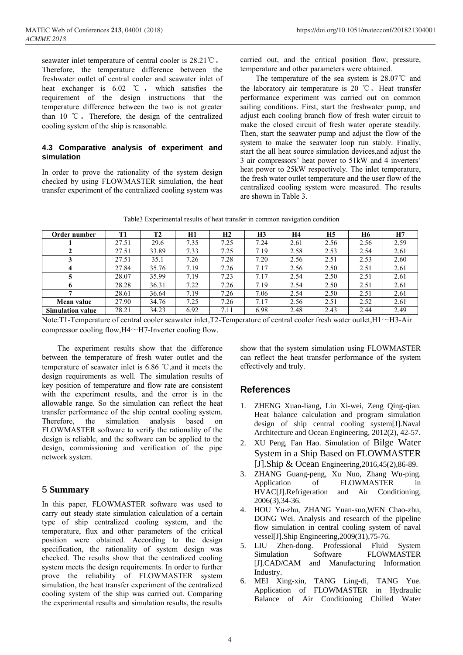seawater inlet temperature of central cooler is 28.21℃。 Therefore, the temperature difference between the freshwater outlet of central cooler and seawater inlet of heat exchanger is 6.02 ℃ , which satisfies the requirement of the design instructions that the temperature difference between the two is not greater than 10 ℃。Therefore, the design of the centralized cooling system of the ship is reasonable.

#### **4.3 Comparative analysis of experiment and simulation**

In order to prove the rationality of the system design checked by using FLOWMASTER simulation, the heat transfer experiment of the centralized cooling system was carried out, and the critical position flow, pressure, temperature and other parameters were obtained.

The temperature of the sea system is 28.07℃ and the laboratory air temperature is 20  $^{\circ}$ C. Heat transfer performance experiment was carried out on common sailing conditions. First, start the freshwater pump, and adjust each cooling branch flow of fresh water circuit to make the closed circuit of fresh water operate steadily. Then, start the seawater pump and adjust the flow of the system to make the seawater loop run stably. Finally, start the all heat source simulation devices,and adjust the 3 air compressors' heat power to 51kW and 4 inverters' heat power to 25kW respectively. The inlet temperature, the fresh water outlet temperature and the user flow of the centralized cooling system were measured. The results are shown in Table 3.

Table3 Experimental results of heat transfer in common navigation condition

| Order number            | <b>T1</b> | T2    | <b>H1</b> | H <sub>2</sub> | H <sub>3</sub> | H4   | <b>H5</b> | <b>H6</b> | H7   |
|-------------------------|-----------|-------|-----------|----------------|----------------|------|-----------|-----------|------|
|                         | 27.51     | 29.6  | 7.35      | 7.25           | 7.24           | 2.61 | 2.56      | 2.56      | 2.59 |
|                         | 27.51     | 33.89 | 7.33      | 7.25           | 7.19           | 2.58 | 2.53      | 2.54      | 2.61 |
|                         | 27.51     | 35.1  | 7.26      | 7.28           | 7.20           | 2.56 | 2.51      | 2.53      | 2.60 |
|                         | 27.84     | 35.76 | 7.19      | 7.26           | 7.17           | 2.56 | 2.50      | 2.51      | 2.61 |
|                         | 28.07     | 35.99 | 7.19      | 7.23           | 7.17           | 2.54 | 2.50      | 2.51      | 2.61 |
|                         | 28.28     | 36.31 | 7.22      | 7.26           | 7.19           | 2.54 | 2.50      | 2.51      | 2.61 |
|                         | 28.61     | 36.64 | 7.19      | 7.26           | 7.06           | 2.54 | 2.50      | 2.51      | 2.61 |
| Mean value              | 27.90     | 34.76 | 7.25      | 7.26           | 7.17           | 2.56 | 2.51      | 2.52      | 2.61 |
| <b>Simulation value</b> | 28.21     | 34.23 | 6.92      | 7.11           | 6.98           | 2.48 | 2.43      | 2.44      | 2.49 |

Note:T1-Temperature of central cooler seawater inlet,T2-Temperature of central cooler fresh water outlet,H1 $\sim$ H3-Air compressor cooling flow,  $H4 \sim H7$ -Inverter cooling flow.

The experiment results show that the difference between the temperature of fresh water outlet and the temperature of seawater inlet is 6.86 ℃,and it meets the design requirements as well. The simulation results of key position of temperature and flow rate are consistent with the experiment results, and the error is in the allowable range. So the simulation can reflect the heat transfer performance of the ship central cooling system. Therefore, the simulation analysis based on FLOWMASTER software to verify the rationality of the design is reliable, and the software can be applied to the design, commissioning and verification of the pipe network system.

### 5 **Summary**

In this paper, FLOWMASTER software was used to carry out steady state simulation calculation of a certain type of ship centralized cooling system, and the temperature, flux and other parameters of the critical position were obtained. According to the design specification, the rationality of system design was checked. The results show that the centralized cooling system meets the design requirements. In order to further prove the reliability of FLOWMASTER system simulation, the heat transfer experiment of the centralized cooling system of the ship was carried out. Comparing the experimental results and simulation results, the results

show that the system simulation using FLOWMASTER can reflect the heat transfer performance of the system effectively and truly.

## **References**

- 1. ZHENG Xuan-liang, Liu Xi-wei, Zeng Qing-qian. Heat balance calculation and program simulation design of ship central cooling system[J].Naval Architecture and Ocean Engineering, 2012(2), 42-57.
- 2. XU Peng, Fan Hao. Simulation of Bilge Water System in a Ship Based on FLOWMASTER [J].Ship & Ocean Engineering,2016,45(2),86-89.
- 3. ZHANG Guang-peng, Xu Nuo, Zhang Wu-ping. Application of FLOWMASTER in HVAC[J].Refrigeration and Air Conditioning, 2006(3),34-36.
- 4. HOU Yu-zhu, ZHANG Yuan-suo,WEN Chao-zhu, DONG Wei. Analysis and research of the pipeline flow simulation in central cooling system of naval vessel[J].Ship Engineering,2009(31),75-76.
- 5. LIU Zhen-dong. Professional Fluid System Simulation Software FLOWMASTER [J].CAD/CAM and Manufacturing Information Industry.
- 6. MEI Xing-xin, TANG Ling-di, TANG Yue. Application of FLOWMASTER in Hydraulic Balance of Air Conditioning Chilled Water